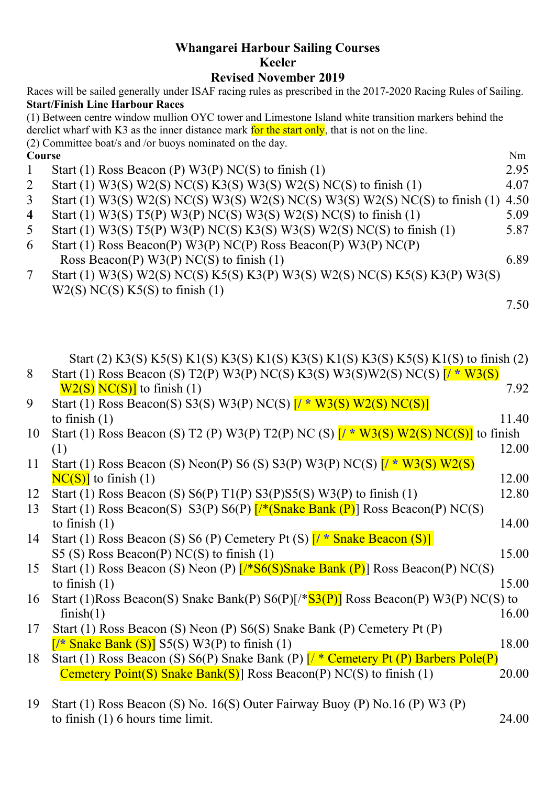## **Whangarei Harbour Sailing Courses Keeler**

## **Revised November 2019**

|                                                                                                | Races will be sailed generally under ISAF racing rules as prescribed in the 2017-2020 Racing Rules of Sailing. |      |  |  |
|------------------------------------------------------------------------------------------------|----------------------------------------------------------------------------------------------------------------|------|--|--|
|                                                                                                | <b>Start/Finish Line Harbour Races</b>                                                                         |      |  |  |
|                                                                                                | (1) Between centre window mullion OYC tower and Limestone Island white transition markers behind the           |      |  |  |
| derelict wharf with K3 as the inner distance mark for the start only, that is not on the line. |                                                                                                                |      |  |  |
|                                                                                                | (2) Committee boat/s and /or buoys nominated on the day.                                                       |      |  |  |
| Course                                                                                         |                                                                                                                | Nm   |  |  |
|                                                                                                | Start (1) Ross Beacon (P) W3(P) NC(S) to finish (1)                                                            | 2.95 |  |  |
| 2                                                                                              | Start (1) W3(S) W2(S) NC(S) K3(S) W3(S) W2(S) NC(S) to finish (1)                                              | 4.07 |  |  |
| $\mathfrak{Z}$                                                                                 | Start (1) W3(S) W2(S) NC(S) W3(S) W2(S) NC(S) W3(S) W2(S) NC(S) to finish (1)                                  | 4.50 |  |  |
| $\overline{4}$                                                                                 | Start (1) W3(S) T5(P) W3(P) NC(S) W3(S) W2(S) NC(S) to finish (1)                                              | 5.09 |  |  |
| 5                                                                                              | Start (1) W3(S) T5(P) W3(P) NC(S) K3(S) W3(S) W2(S) NC(S) to finish (1)                                        | 5.87 |  |  |
| 6                                                                                              | Start (1) Ross Beacon(P) W3(P) NC(P) Ross Beacon(P) W3(P) NC(P)                                                |      |  |  |
|                                                                                                | Ross Beacon(P) $W3(P)$ NC(S) to finish (1)                                                                     | 6.89 |  |  |
|                                                                                                | $\sim$ /4) IIIA (0) IIIA (0) AIO (0) IFF (0) IFA (D) IIIA (0) IIIA (0) AIO (0) IFF (0) IFA (D) IIIA (0)        |      |  |  |

7 Start (1) W3(S) W2(S) NC(S) K5(S) K3(P) W3(S) W2(S) NC(S) K5(S) K3(P) W3(S)  $W2(S) NC(S) K5(S)$  to finish (1)

7.50

Start (2) K3(S) K5(S) K1(S) K3(S) K1(S) K3(S) K1(S) K3(S) K5(S) K1(S) to finish (2)

| 8  | Start (1) Ross Beacon (S) T2(P) W3(P) NC(S) K3(S) W3(S)W2(S) NC(S) $\sqrt{N^* W^3(S)}$        |       |
|----|-----------------------------------------------------------------------------------------------|-------|
|    | $W2(S) NC(S)$ ] to finish (1)                                                                 | 7.92  |
| 9  | Start (1) Ross Beacon(S) S3(S) W3(P) NC(S) $\frac{\Gamma}{\sqrt{2}}$ W3(S) W2(S) NC(S)        |       |
|    | to finish $(1)$                                                                               | 11.40 |
| 10 | Start (1) Ross Beacon (S) T2 (P) W3(P) T2(P) NC (S) $\frac{r}{s}$ W3(S) W2(S) NC(S) to finish |       |
|    |                                                                                               | 12.00 |
| 11 | Start (1) Ross Beacon (S) Neon(P) S6 (S) S3(P) W3(P) NC(S) $\frac{1}{4}$ W3(S) W2(S)          |       |
|    | $N C(S)$ ] to finish (1)                                                                      | 12.00 |
| 12 | Start (1) Ross Beacon (S) $S6(P) T1(P) S3(P) S5(S) W3(P)$ to finish (1)                       | 12.80 |

13 Start (1) Ross Beacon(S) S3(P) S6(P) [/\*(Snake Bank (P)] Ross Beacon(P) NC(S) to finish  $(1)$  14.00

14 Start (1) Ross Beacon (S) S6 (P) Cemetery Pt (S) [**/ \*** Snake Beacon (S)] S5 (S) Ross Beacon(P) NC(S) to finish  $(1)$  15.00

- 15 Start (1) Ross Beacon (S) Neon (P) [/\*S6(S)Snake Bank (P)] Ross Beacon(P) NC(S) to finish  $(1)$  15.00
- 16 Start (1)Ross Beacon(S) Snake Bank(P)  $S6(P)[\sqrt[k]{S3(P)}]$  Ross Beacon(P) W3(P) NC(S) to  $\text{finish}(1)$  16.00
- 17 Start (1) Ross Beacon (S) Neon (P) S6(S) Snake Bank (P) Cemetery Pt (P)  $\frac{\sqrt{7}}{2}$  Snake Bank (S) S5(S) W3(P) to finish (1) 18.00
- 18 Start (1) Ross Beacon (S) S6(P) Snake Bank (P)  $\frac{1}{2}$  Cemetery Pt (P) Barbers Pole(P) Cemetery Point(S) Snake Bank(S)] Ross Beacon(P) NC(S) to finish  $(1)$  20.00
- 19 Start (1) Ross Beacon (S) No. 16(S) Outer Fairway Buoy (P) No.16 (P) W3 (P) to finish (1) 6 hours time limit. 24.00